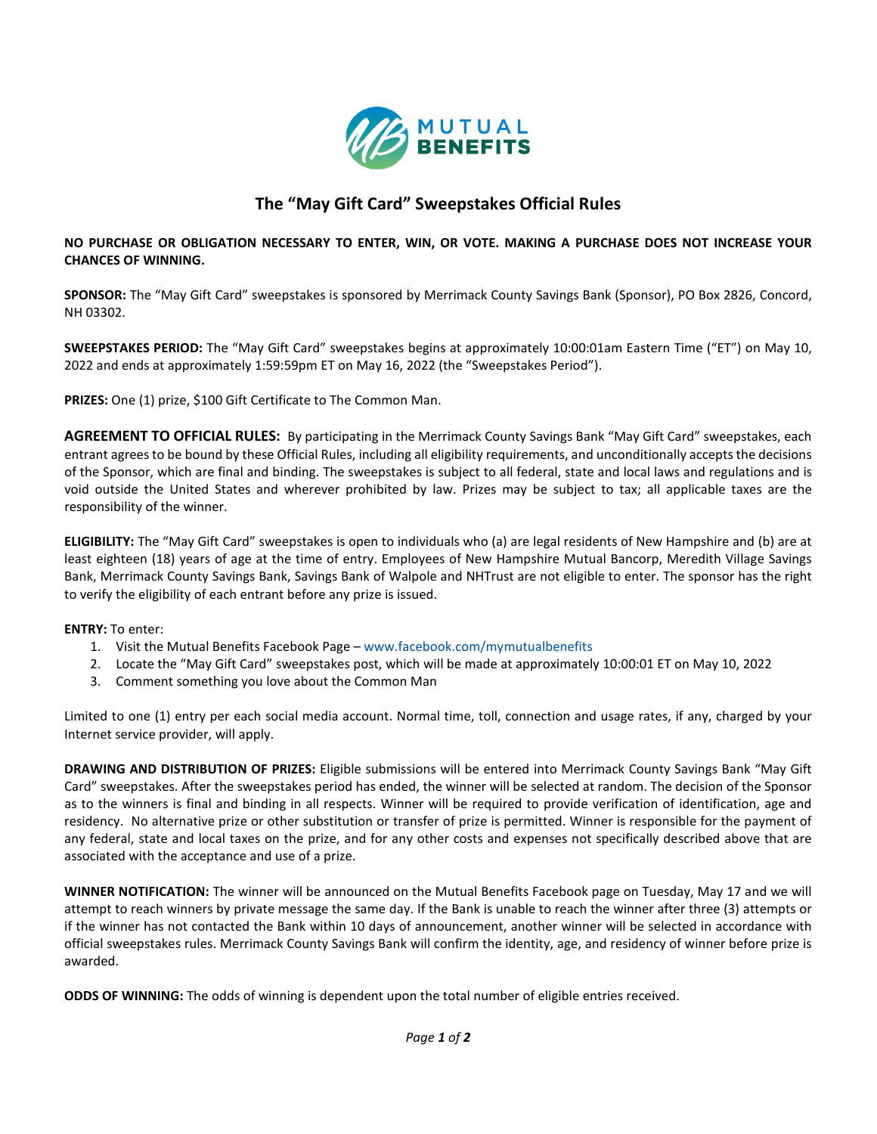

## **The "May Gift Card" Sweepstakes Official Rules**

**NO PURCHASE OR OBLIGATION NECESSARY TO ENTER, WIN, OR VOTE. MAKING A PURCHASE DOES NOT INCREASE YOUR CHANCES OF WINNING.**

**SPONSOR:** The "May Gift Card" sweepstakes is sponsored by Merrimack County Savings Bank (Sponsor), PO Box 2826, Concord, NH 03302.

**SWEEPSTAKES PERIOD:** The "May Gift Card" sweepstakes begins at approximately 10:00:01am Eastern Time ("ET") on May 10, 2022 and ends at approximately 1:59:59pm ET on May 16, 2022 (the "Sweepstakes Period").

**PRIZES:** One (1) prize, \$100 Gift Certificate to The Common Man.

**AGREEMENT TO OFFICIAL RULES:** By participating in the Merrimack County Savings Bank "May Gift Card" sweepstakes, each entrant agrees to be bound by these Official Rules, including all eligibility requirements, and unconditionally accepts the decisions of the Sponsor, which are final and binding. The sweepstakes is subject to all federal, state and local laws and regulations and is void outside the United States and wherever prohibited by law. Prizes may be subject to tax; all applicable taxes are the responsibility of the winner.

**ELIGIBILITY:** The "May Gift Card" sweepstakes is open to individuals who (a) are legal residents of New Hampshire and (b) are at least eighteen (18) years of age at the time of entry. Employees of New Hampshire Mutual Bancorp, Meredith Village Savings Bank, Merrimack County Savings Bank, Savings Bank of Walpole and NHTrust are not eligible to enter. The sponsor has the right to verify the eligibility of each entrant before any prize is issued.

**ENTRY:** To enter:

- 1. Visit the Mutual Benefits Facebook Page [www.facebook.com/mymutualbenefits](http://www.facebook.com/mymutualbenefits)
- 2. Locate the "May Gift Card" sweepstakes post, which will be made at approximately 10:00:01 ET on May 10, 2022
- 3. Comment something you love about the Common Man

Limited to one (1) entry per each social media account. Normal time, toll, connection and usage rates, if any, charged by your Internet service provider, will apply.

**DRAWING AND DISTRIBUTION OF PRIZES:** Eligible submissions will be entered into Merrimack County Savings Bank "May Gift Card" sweepstakes. After the sweepstakes period has ended, the winner will be selected at random. The decision of the Sponsor as to the winners is final and binding in all respects. Winner will be required to provide verification of identification, age and residency. No alternative prize or other substitution or transfer of prize is permitted. Winner is responsible for the payment of any federal, state and local taxes on the prize, and for any other costs and expenses not specifically described above that are associated with the acceptance and use of a prize.

**WINNER NOTIFICATION:** The winner will be announced on the Mutual Benefits Facebook page on Tuesday, May 17 and we will attempt to reach winners by private message the same day. If the Bank is unable to reach the winner after three (3) attempts or if the winner has not contacted the Bank within 10 days of announcement, another winner will be selected in accordance with official sweepstakes rules. Merrimack County Savings Bank will confirm the identity, age, and residency of winner before prize is awarded.

**ODDS OF WINNING:** The odds of winning is dependent upon the total number of eligible entries received.